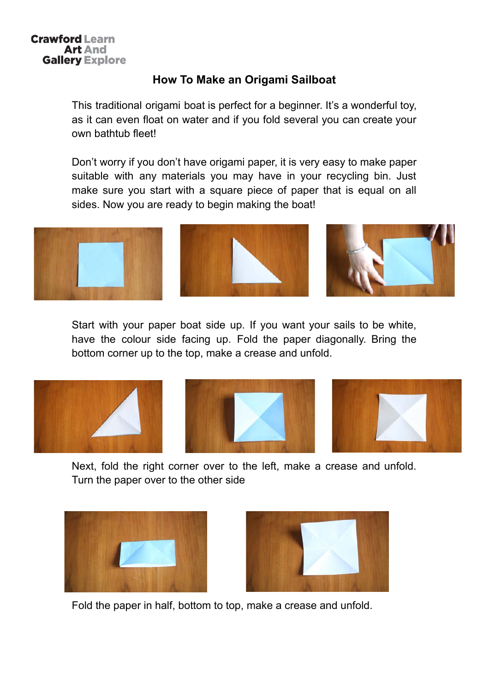## **Crawford Learn Art And Gallery Explore**

## How To Make an Origami Sailboat

This traditional origami boat is perfect for a beginner. It's a wonderful toy, as it can even float on water and if you fold several you can create your own bathtub fleet!

Don't worry if you don't have origami paper, it is very easy to make paper suitable with any materials you may have in your recycling bin. Just make sure you start with a square piece of paper that is equal on all sides. Now you are ready to begin making the boat!



Start with your paper boat side up. If you want your sails to be white, have the colour side facing up. Fold the paper diagonally. Bring the bottom corner up to the top, make a crease and unfold.







Next, fold the right corner over to the left, make a crease and unfold. Turn the paper over to the other side





Fold the paper in half, bottom to top, make a crease and unfold.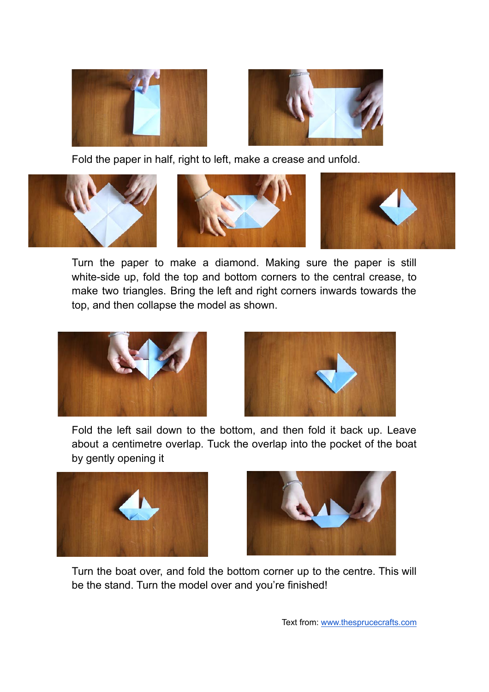



Fold the paper in half, right to left, make a crease and unfold.



Turn the paper to make a diamond. Making sure the paper is still white-side up, fold the top and bottom corners to the central crease, to make two triangles. Bring the left and right corners inwards towards the top, and then collapse the model as shown.





Fold the left sail down to the bottom, and then fold it back up. Leave about a centimetre overlap. Tuck the overlap into the pocket of the boat by gently opening it





Turn the boat over, and fold the bottom corner up to the centre. This will be the stand. Turn the model over and you're finished!

Text from: www.thesprucecrafts.com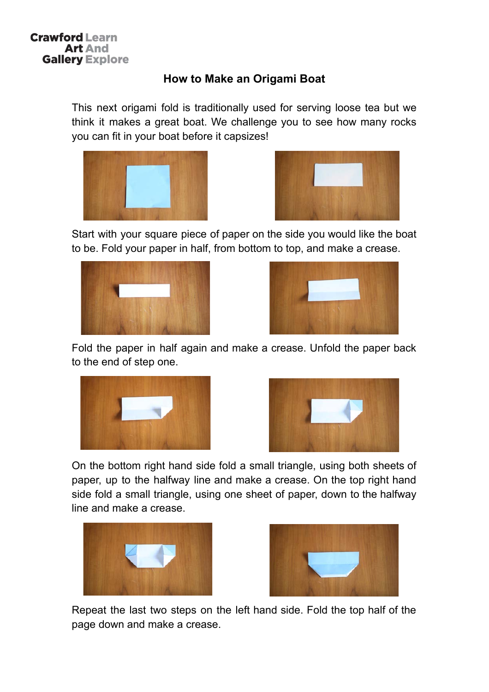## How to Make an Origami Boat

This next origami fold is traditionally used for serving loose tea but we think it makes a great boat. We challenge you to see how many rocks you can fit in your boat before it capsizes!





Start with your square piece of paper on the side you would like the boat to be. Fold your paper in half, from bottom to top, and make a crease.





Fold the paper in half again and make a crease. Unfold the paper back to the end of step one.





On the bottom right hand side fold a small triangle, using both sheets of paper, up to the halfway line and make a crease. On the top right hand side fold a small triangle, using one sheet of paper, down to the halfway line and make a crease.





Repeat the last two steps on the left hand side. Fold the top half of the page down and make a crease.